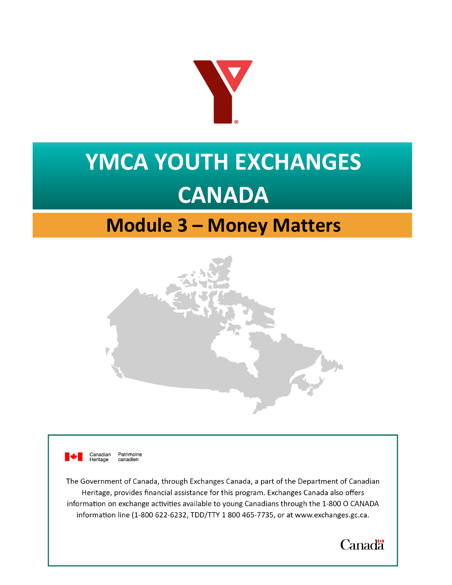

# **YMCA YOUTH EXCHANGES CANADA**

# **Module 3 – Money Matters**





The Government of Canada, through Exchanges Canada, a part of the Department of Canadian Heritage, provides financial assistance for this program. Exchanges Canada also offers information on exchange activities available to young Canadians through the 1-800 O CANADA information line (1-800 622-6232, TDD/TTY 1800 465-7735, or at [www.exchanges.gc.ca.](http://www.exchanges.gc.ca) 

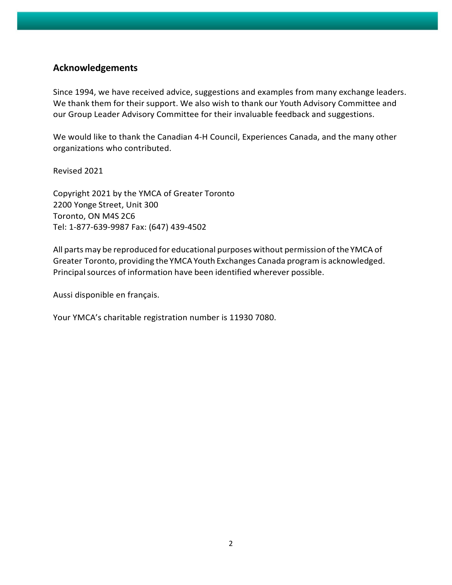#### **Acknowledgements**

Since 1994, we have received advice, suggestions and examples from many exchange leaders. We thank them for their support. We also wish to thank our Youth Advisory Committee and our Group Leader Advisory Committee for their invaluable feedback and suggestions.

We would like to thank the Canadian 4-H Council, Experiences Canada, and the many other organizations who contributed.

Revised 2021

Copyright 2021 by the YMCA of Greater Toronto 2200 Yonge Street, Unit 300 Toronto, ON M4S 2C6 Tel: 1-877-639-9987 Fax: (647) 439-4502

All parts may be reproduced for educational purposes without permission of the YMCA of Greater Toronto, providing the YMCAYouth Exchanges Canada program is acknowledged. Principal sources of information have been identified wherever possible.

Aussi disponible en français.

Your YMCA's charitable registration number is 11930 7080.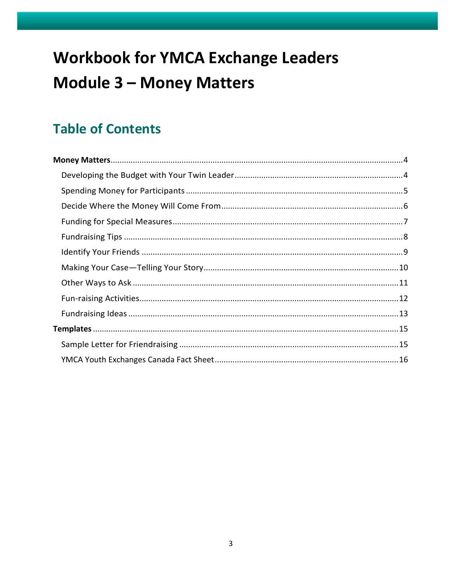# **Workbook for YMCA Exchange Leaders Module 3 - Money Matters**

# **Table of Contents**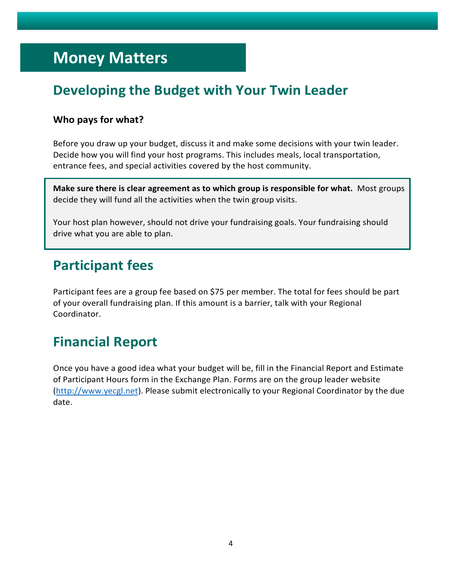# <span id="page-3-0"></span>**Money Matters**

# **Developing the Budget with Your Twin Leader**

#### **Who pays for what?**

Before you draw up your budget, discuss it and make some decisions with your twin leader. Decide how you will find your host programs. This includes meals, local transportation, entrance fees, and special activities covered by the host community.

**Make sure there is clear agreement as to which group is responsible for what.** Most groups decide they will fund all the activities when the twin group visits.

Your host plan however, should not drive your fundraising goals. Your fundraising should drive what you are able to plan.

### **Participant fees**

Participant fees are a group fee based on \$75 per member. The total for fees should be part of your overall fundraising plan. If this amount is a barrier, talk with your Regional Coordinator.

# **Financial Report**

Once you have a good idea what your budget will be, fill in the Financial Report and Estimate of Participant Hours form in the Exchange Plan. Forms are on the group leader website [\(http://www.yecgl.net\)](http://www.yecgl.net/). Please submit electronically to your Regional Coordinator by the due date.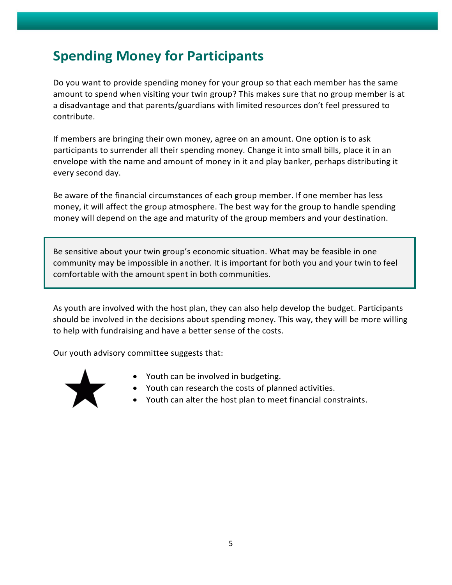# <span id="page-4-0"></span>**Spending Money for Participants**

Do you want to provide spending money for your group so that each member has the same amount to spend when visiting your twin group? This makes sure that no group member is at a disadvantage and that parents/guardians with limited resources don't feel pressured to contribute.

If members are bringing their own money, agree on an amount. One option is to ask participants to surrender all their spending money. Change it into small bills, place it in an envelope with the name and amount of money in it and play banker, perhaps distributing it every second day.

Be aware of the financial circumstances of each group member. If one member has less money, it will affect the group atmosphere. The best way for the group to handle spending money will depend on the age and maturity of the group members and your destination.

Be sensitive about your twin group's economic situation. What may be feasible in one community may be impossible in another. It is important for both you and your twin to feel comfortable with the amount spent in both communities.

As youth are involved with the host plan, they can also help develop the budget. Participants should be involved in the decisions about spending money. This way, they will be more willing to help with fundraising and have a better sense of the costs.

Our youth advisory committee suggests that:



- Youth can be involved in budgeting.
- Youth can research the costs of planned activities.
- Youth can alter the host plan to meet financial constraints.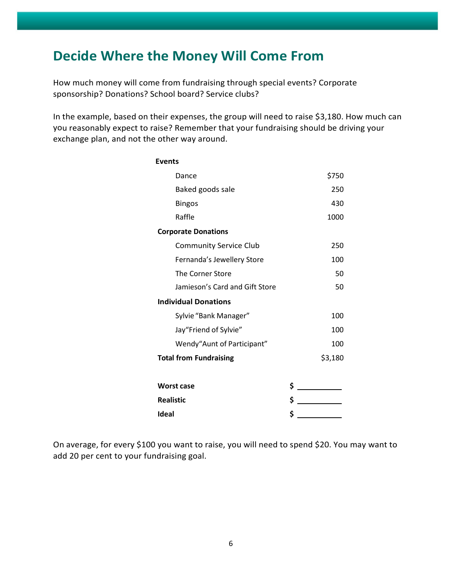## <span id="page-5-0"></span>**Decide Where the Money Will Come From**

How much money will come from fundraising through special events? Corporate sponsorship? Donations? School board? Service clubs?

In the example, based on their expenses, the group will need to raise \$3,180. How much can you reasonably expect to raise? Remember that your fundraising should be driving your exchange plan, and not the other way around.

| <b>Events</b>                  |         |
|--------------------------------|---------|
| Dance                          | \$750   |
| Baked goods sale               | 250     |
| <b>Bingos</b>                  | 430     |
| Raffle                         | 1000    |
| <b>Corporate Donations</b>     |         |
| <b>Community Service Club</b>  | 250     |
| Fernanda's Jewellery Store     | 100     |
| The Corner Store               | 50      |
| Jamieson's Card and Gift Store | 50      |
| <b>Individual Donations</b>    |         |
| Sylvie "Bank Manager"          | 100     |
| Jay"Friend of Sylvie"          | 100     |
| Wendy"Aunt of Participant"     | 100     |
| <b>Total from Fundraising</b>  | \$3,180 |
|                                |         |
| <b>Worst case</b>              | \$      |
| <b>Realistic</b>               | \$      |
| Ideal                          | \$      |

On average, for every \$100 you want to raise, you will need to spend \$20. You may want to add 20 per cent to your fundraising goal.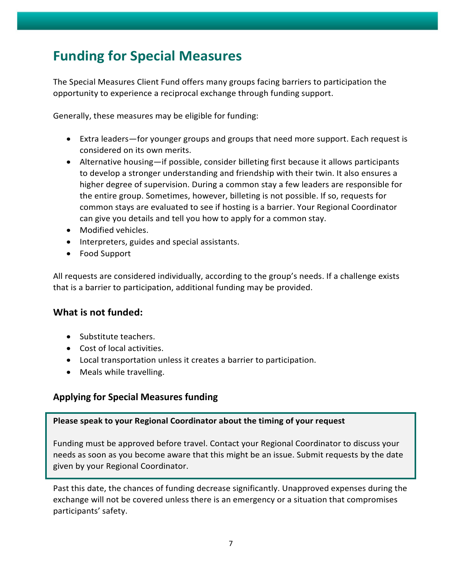# <span id="page-6-0"></span>**Funding for Special Measures**

The Special Measures Client Fund offers many groups facing barriers to participation the opportunity to experience a reciprocal exchange through funding support.

Generally, these measures may be eligible for funding:

- Extra leaders—for younger groups and groups that need more support. Each request is considered on its own merits.
- Alternative housing—if possible, consider billeting first because it allows participants to develop a stronger understanding and friendship with their twin. It also ensures a higher degree of supervision. During a common stay a few leaders are responsible for the entire group. Sometimes, however, billeting is not possible. If so, requests for common stays are evaluated to see if hosting is a barrier. Your Regional Coordinator can give you details and tell you how to apply for a common stay.
- Modified vehicles.
- Interpreters, guides and special assistants.
- Food Support

All requests are considered individually, according to the group's needs. If a challenge exists that is a barrier to participation, additional funding may be provided.

#### **What is not funded:**

- Substitute teachers.
- Cost of local activities.
- Local transportation unless it creates a barrier to participation.
- Meals while travelling.

#### **Applying for Special Measures funding**

#### **Please speak to your Regional Coordinator about the timing of your request**

Funding must be approved before travel. Contact your Regional Coordinator to discuss your needs as soon as you become aware that this might be an issue. Submit requests by the date given by your Regional Coordinator.

Past this date, the chances of funding decrease significantly. Unapproved expenses during the exchange will not be covered unless there is an emergency or a situation that compromises participants' safety.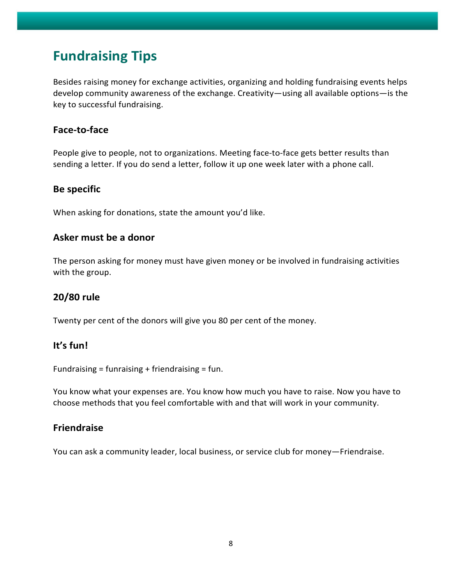## <span id="page-7-0"></span>**Fundraising Tips**

Besides raising money for exchange activities, organizing and holding fundraising events helps develop community awareness of the exchange. Creativity—using all available options—is the key to successful fundraising.

#### **Face-to-face**

People give to people, not to organizations. Meeting face-to-face gets better results than sending a letter. If you do send a letter, follow it up one week later with a phone call.

#### **Be specific**

When asking for donations, state the amount you'd like.

#### **Asker must be a donor**

The person asking for money must have given money or be involved in fundraising activities with the group.

#### **20/80 rule**

Twenty per cent of the donors will give you 80 per cent of the money.

#### **It's fun!**

Fundraising = funraising + friendraising = fun.

You know what your expenses are. You know how much you have to raise. Now you have to choose methods that you feel comfortable with and that will work in your community.

#### **Friendraise**

You can ask a community leader, local business, or service club for money—Friendraise.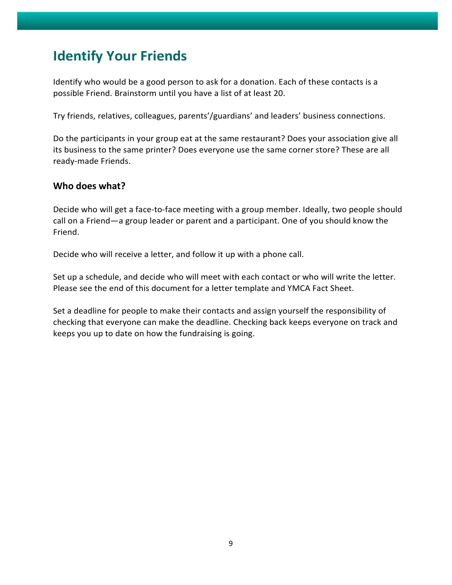# <span id="page-8-0"></span>**Identify Your Friends**

Identify who would be a good person to ask for a donation. Each of these contacts is a possible Friend. Brainstorm until you have a list of at least 20.

Try friends, relatives, colleagues, parents'/guardians' and leaders' business connections.

Do the participants in your group eat at the same restaurant? Does your association give all its business to the same printer? Does everyone use the same corner store? These are all ready-made Friends.

#### **Who does what?**

Decide who will get a face-to-face meeting with a group member. Ideally, two people should call on a Friend—a group leader or parent and a participant. One of you should know the Friend.

Decide who will receive a letter, and follow it up with a phone call.

Set up a schedule, and decide who will meet with each contact or who will write the letter. Please see the end of this document for a letter template and YMCA Fact Sheet.

Set a deadline for people to make their contacts and assign yourself the responsibility of checking that everyone can make the deadline. Checking back keeps everyone on track and keeps you up to date on how the fundraising is going.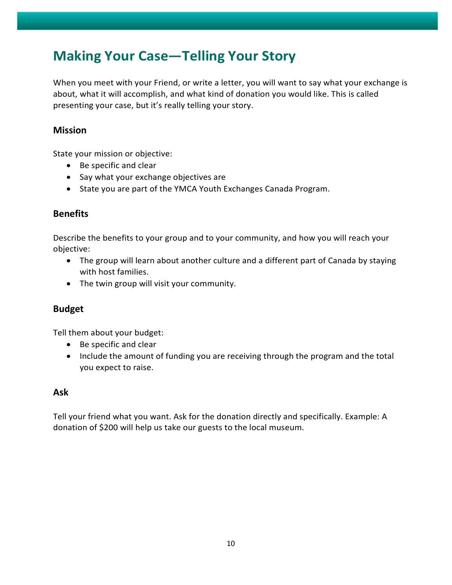# <span id="page-9-0"></span>**Making Your Case—Telling Your Story**

When you meet with your Friend, or write a letter, you will want to say what your exchange is about, what it will accomplish, and what kind of donation you would like. This is called presenting your case, but it's really telling your story.

#### **Mission**

State your mission or objective:

- Be specific and clear
- Say what your exchange objectives are
- State you are part of the YMCA Youth Exchanges Canada Program.

#### **Benefits**

Describe the benefits to your group and to your community, and how you will reach your objective:

- The group will learn about another culture and a different part of Canada by staying with host families.
- The twin group will visit your community.

#### **Budget**

Tell them about your budget:

- Be specific and clear
- Include the amount of funding you are receiving through the program and the total you expect to raise.

#### **Ask**

Tell your friend what you want. Ask for the donation directly and specifically. Example: A donation of \$200 will help us take our guests to the local museum.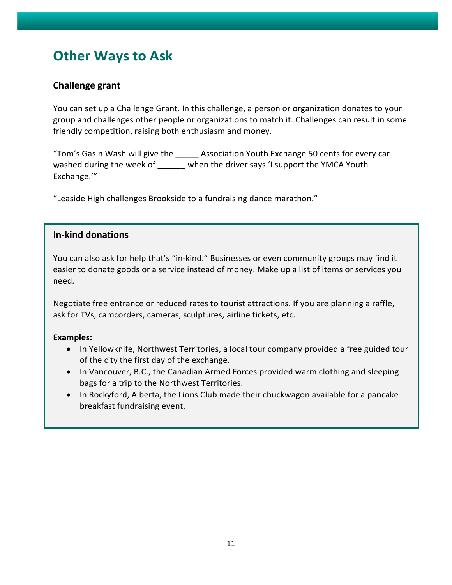# <span id="page-10-0"></span>**Other Ways to Ask**

#### **Challenge grant**

You can set up a Challenge Grant. In this challenge, a person or organization donates to your group and challenges other people or organizations to match it. Challenges can result in some friendly competition, raising both enthusiasm and money.

"Tom's Gas n Wash will give the \_\_\_\_\_ Association Youth Exchange 50 cents for every car washed during the week of \_\_\_\_\_\_ when the driver says 'I support the YMCA Youth Exchange.'"

"Leaside High challenges Brookside to a fundraising dance marathon."

#### **In-kind donations**

You can also ask for help that's "in-kind." Businesses or even community groups may find it easier to donate goods or a service instead of money. Make up a list of items or services you need.

Negotiate free entrance or reduced rates to tourist attractions. If you are planning a raffle, ask for TVs, camcorders, cameras, sculptures, airline tickets, etc.

#### **Examples:**

- In Yellowknife, Northwest Territories, a local tour company provided a free guided tour of the city the first day of the exchange.
- In Vancouver, B.C., the Canadian Armed Forces provided warm clothing and sleeping bags for a trip to the Northwest Territories.
- In Rockyford, Alberta, the Lions Club made their chuckwagon available for a pancake breakfast fundraising event.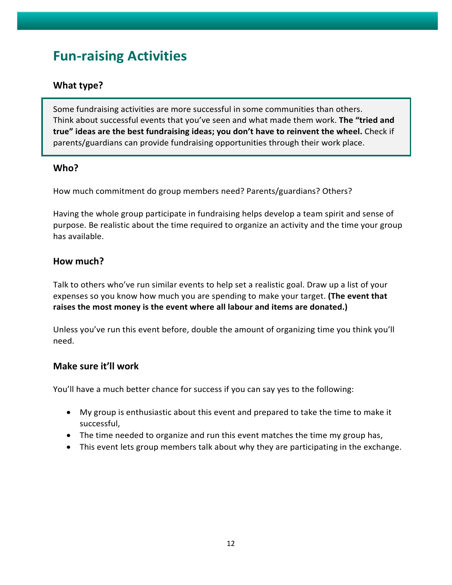# <span id="page-11-0"></span>**Fun-raising Activities**

#### **What type?**

Some fundraising activities are more successful in some communities than others. Think about successful events that you've seen and what made them work. **The "tried and true" ideas are the best fundraising ideas; you don't have to reinvent the wheel.** Check if parents/guardians can provide fundraising opportunities through their work place.

#### **Who?**

How much commitment do group members need? Parents/guardians? Others?

Having the whole group participate in fundraising helps develop a team spirit and sense of purpose. Be realistic about the time required to organize an activity and the time your group has available.

#### **How much?**

Talk to others who've run similar events to help set a realistic goal. Draw up a list of your expenses so you know how much you are spending to make your target. **(The event that raises the most money is the event where all labour and items are donated.)**

Unless you've run this event before, double the amount of organizing time you think you'll need.

#### **Make sure it'll work**

You'll have a much better chance for success if you can say yes to the following:

- My group is enthusiastic about this event and prepared to take the time to make it successful,
- The time needed to organize and run this event matches the time my group has,
- This event lets group members talk about why they are participating in the exchange.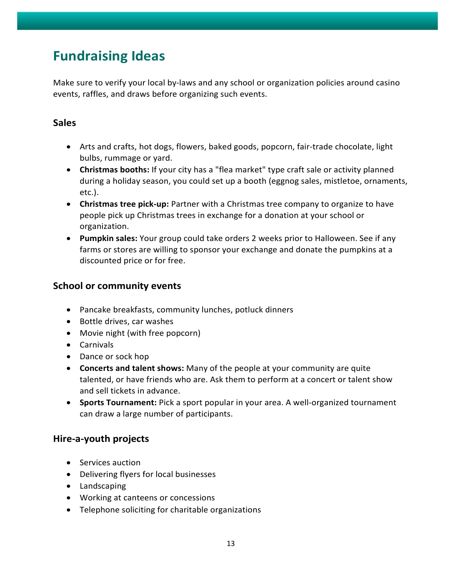# <span id="page-12-0"></span>**Fundraising Ideas**

Make sure to verify your local by-laws and any school or organization policies around casino events, raffles, and draws before organizing such events.

#### **Sales**

- Arts and crafts, hot dogs, flowers, baked goods, popcorn, fair-trade chocolate, light bulbs, rummage or yard.
- **Christmas booths:** If your city has a "flea market" type craft sale or activity planned during a holiday season, you could set up a booth (eggnog sales, mistletoe, ornaments, etc.).
- **Christmas tree pick-up:** Partner with a Christmas tree company to organize to have people pick up Christmas trees in exchange for a donation at your school or organization.
- **Pumpkin sales:** Your group could take orders 2 weeks prior to Halloween. See if any farms or stores are willing to sponsor your exchange and donate the pumpkins at a discounted price or for free.

#### **School or community events**

- Pancake breakfasts, community lunches, potluck dinners
- Bottle drives, car washes
- Movie night (with free popcorn)
- Carnivals
- Dance or sock hop
- **Concerts and talent shows:** Many of the people at your community are quite talented, or have friends who are. Ask them to perform at a concert or talent show and sell tickets in advance.
- **Sports Tournament:** Pick a sport popular in your area. A well-organized tournament can draw a large number of participants.

#### **Hire-a-youth projects**

- Services auction
- Delivering flyers for local businesses
- Landscaping
- Working at canteens or concessions
- Telephone soliciting for charitable organizations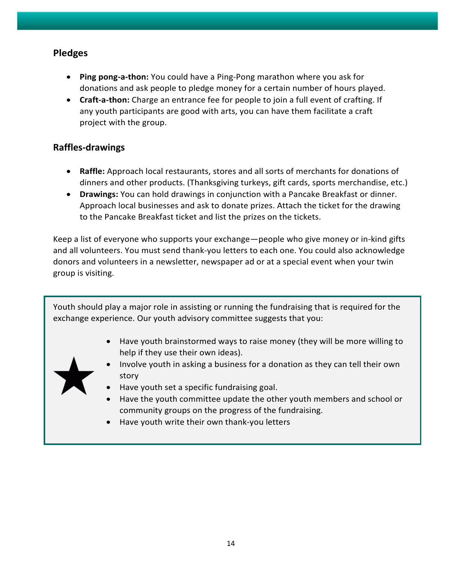#### **Pledges**

- **Ping pong-a-thon:** You could have a Ping-Pong marathon where you ask for donations and ask people to pledge money for a certain number of hours played.
- **Craft-a-thon:** Charge an entrance fee for people to join a full event of crafting. If any youth participants are good with arts, you can have them facilitate a craft project with the group.

#### **Raffles-drawings**

- **Raffle:** Approach local restaurants, stores and all sorts of merchants for donations of dinners and other products. (Thanksgiving turkeys, gift cards, sports merchandise, etc.)
- **Drawings:** You can hold drawings in conjunction with a Pancake Breakfast or dinner. Approach local businesses and ask to donate prizes. Attach the ticket for the drawing to the Pancake Breakfast ticket and list the prizes on the tickets.

Keep a list of everyone who supports your exchange—people who give money or in-kind gifts and all volunteers. You must send thank-you letters to each one. You could also acknowledge donors and volunteers in a newsletter, newspaper ad or at a special event when your twin group is visiting.

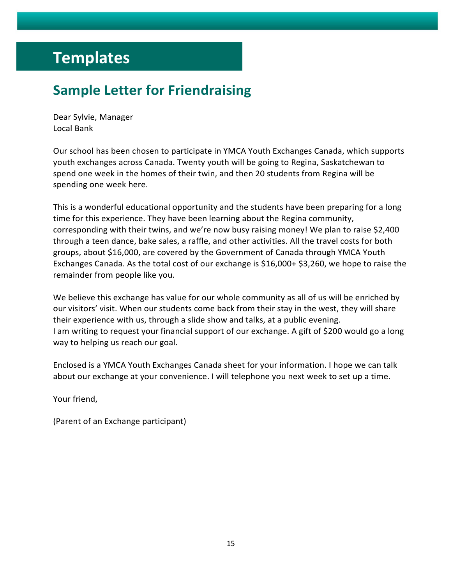# <span id="page-14-0"></span>**Templates**

# **Sample Letter for Friendraising**

Dear Sylvie, Manager Local Bank

Our school has been chosen to participate in YMCA Youth Exchanges Canada, which supports youth exchanges across Canada. Twenty youth will be going to Regina, Saskatchewan to spend one week in the homes of their twin, and then 20 students from Regina will be spending one week here.

This is a wonderful educational opportunity and the students have been preparing for a long time for this experience. They have been learning about the Regina community, corresponding with their twins, and we're now busy raising money! We plan to raise \$2,400 through a teen dance, bake sales, a raffle, and other activities. All the travel costs for both groups, about \$16,000, are covered by the Government of Canada through YMCA Youth Exchanges Canada. As the total cost of our exchange is \$16,000+ \$3,260, we hope to raise the remainder from people like you.

We believe this exchange has value for our whole community as all of us will be enriched by our visitors' visit. When our students come back from their stay in the west, they will share their experience with us, through a slide show and talks, at a public evening. I am writing to request your financial support of our exchange. A gift of \$200 would go a long way to helping us reach our goal.

Enclosed is a YMCA Youth Exchanges Canada sheet for your information. I hope we can talk about our exchange at your convenience. I will telephone you next week to set up a time.

Your friend,

(Parent of an Exchange participant)